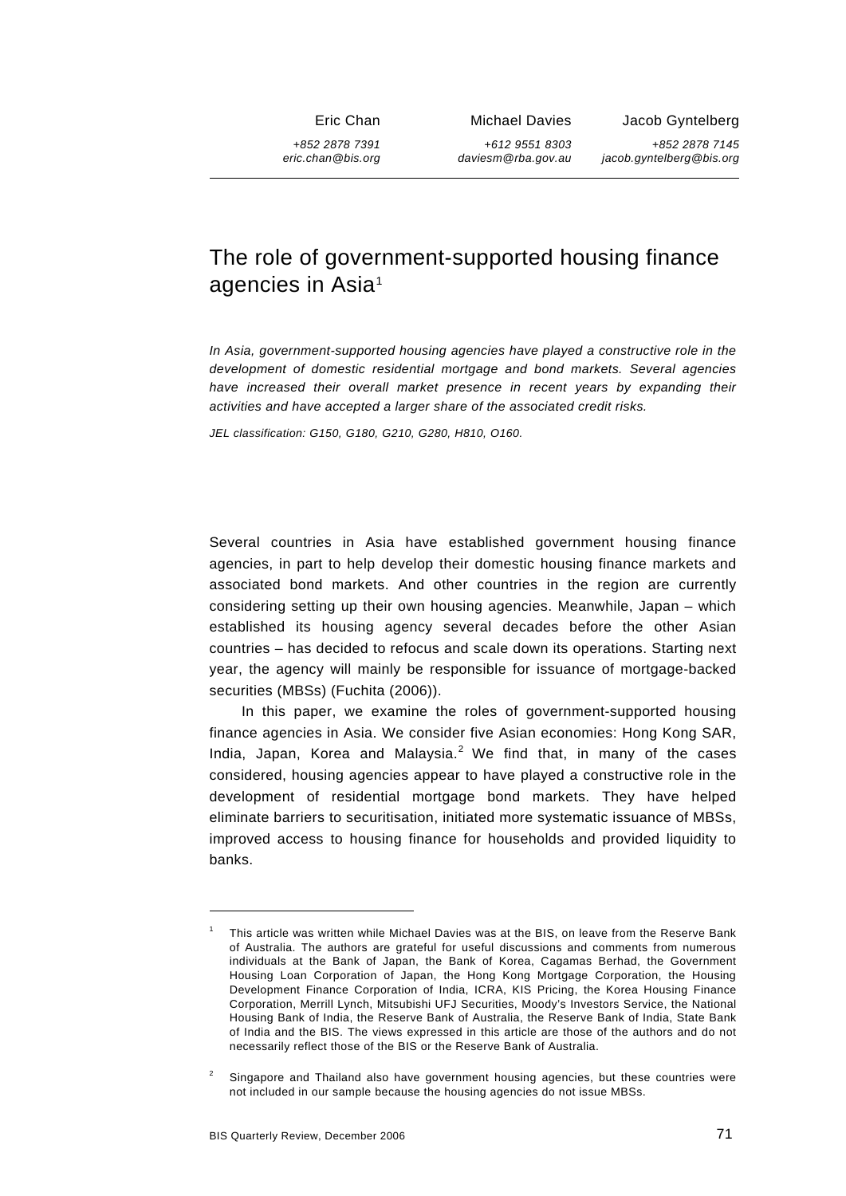Eric Chan

*+852 2878 7391 eric.chan@bis.org* Michael Davies

*+612 9551 8303 daviesm@rba.gov.au* Jacob Gyntelberg

*+852 2878 7145 jacob.gyntelberg@bis.org*

# The role of government-supported housing finance agencies in Asia<sup>[1](#page-0-0)</sup>

*In Asia, government-supported housing agencies have played a constructive role in the development of domestic residential mortgage and bond markets. Several agencies have increased their overall market presence in recent years by expanding their activities and have accepted a larger share of the associated credit risks.* 

*JEL classification: G150, G180, G210, G280, H810, O160.* 

Several countries in Asia have established government housing finance agencies, in part to help develop their domestic housing finance markets and associated bond markets. And other countries in the region are currently considering setting up their own housing agencies. Meanwhile, Japan – which established its housing agency several decades before the other Asian countries – has decided to refocus and scale down its operations. Starting next year, the agency will mainly be responsible for issuance of mortgage-backed securities (MBSs) (Fuchita (2006)).

In this paper, we examine the roles of government-supported housing finance agencies in Asia. We consider five Asian economies: Hong Kong SAR, India, Japan, Korea and Malaysia. $<sup>2</sup>$  $<sup>2</sup>$  $<sup>2</sup>$  We find that, in many of the cases</sup> considered, housing agencies appear to have played a constructive role in the development of residential mortgage bond markets. They have helped eliminate barriers to securitisation, initiated more systematic issuance of MBSs, improved access to housing finance for households and provided liquidity to banks.

<span id="page-0-0"></span><sup>1</sup> This article was written while Michael Davies was at the BIS, on leave from the Reserve Bank of Australia. The authors are grateful for useful discussions and comments from numerous individuals at the Bank of Japan, the Bank of Korea, Cagamas Berhad, the Government Housing Loan Corporation of Japan, the Hong Kong Mortgage Corporation, the Housing Development Finance Corporation of India, ICRA, KIS Pricing, the Korea Housing Finance Corporation, Merrill Lynch, Mitsubishi UFJ Securities, Moody's Investors Service, the National Housing Bank of India, the Reserve Bank of Australia, the Reserve Bank of India, State Bank of India and the BIS. The views expressed in this article are those of the authors and do not necessarily reflect those of the BIS or the Reserve Bank of Australia.

<span id="page-0-1"></span><sup>2</sup> Singapore and Thailand also have government housing agencies, but these countries were not included in our sample because the housing agencies do not issue MBSs.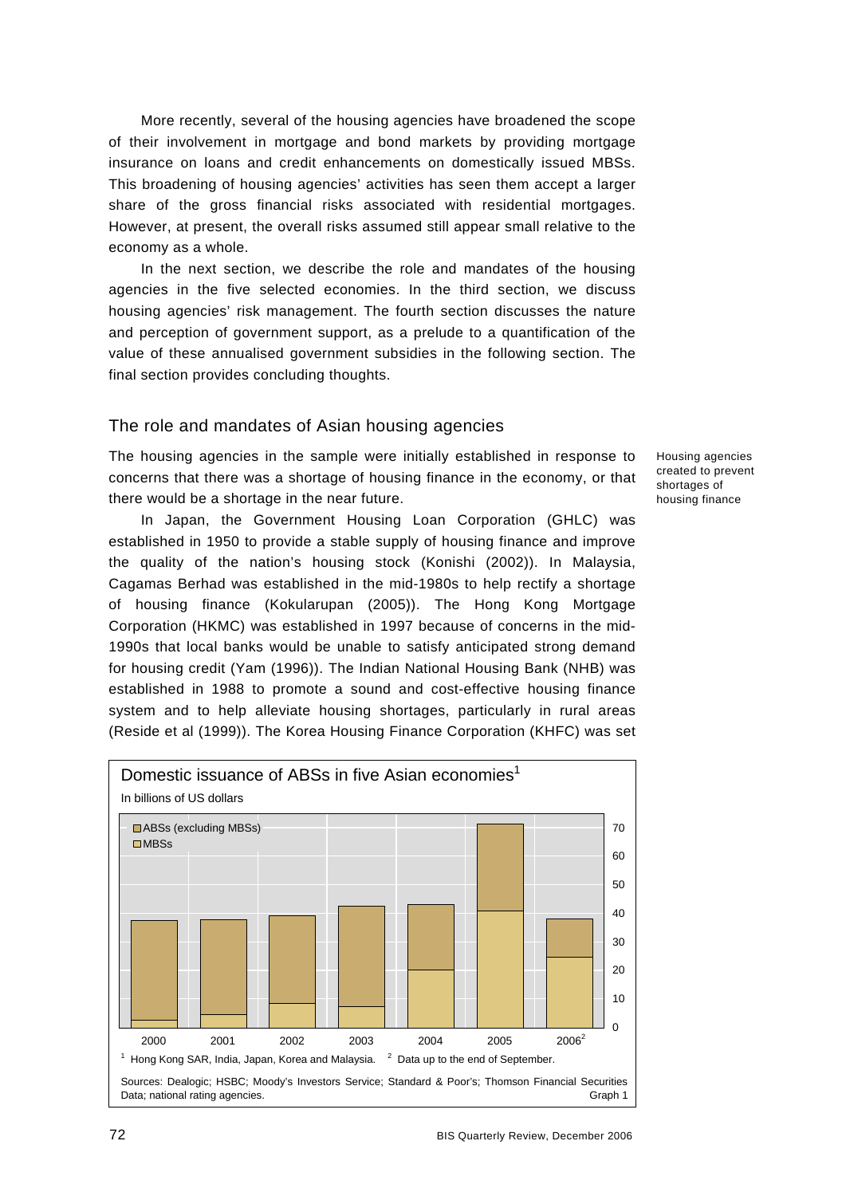More recently, several of the housing agencies have broadened the scope of their involvement in mortgage and bond markets by providing mortgage insurance on loans and credit enhancements on domestically issued MBSs. This broadening of housing agencies' activities has seen them accept a larger share of the gross financial risks associated with residential mortgages. However, at present, the overall risks assumed still appear small relative to the economy as a whole.

In the next section, we describe the role and mandates of the housing agencies in the five selected economies. In the third section, we discuss housing agencies' risk management. The fourth section discusses the nature and perception of government support, as a prelude to a quantification of the value of these annualised government subsidies in the following section. The final section provides concluding thoughts.

### The role and mandates of Asian housing agencies

The housing agencies in the sample were initially established in response to concerns that there was a shortage of housing finance in the economy, or that there would be a shortage in the near future.

In Japan, the Government Housing Loan Corporation (GHLC) was established in 1950 to provide a stable supply of housing finance and improve the quality of the nation's housing stock (Konishi (2002)). In Malaysia, Cagamas Berhad was established in the mid-1980s to help rectify a shortage of housing finance (Kokularupan (2005)). The Hong Kong Mortgage Corporation (HKMC) was established in 1997 because of concerns in the mid-1990s that local banks would be unable to satisfy anticipated strong demand for housing credit (Yam (1996)). The Indian National Housing Bank (NHB) was established in 1988 to promote a sound and cost-effective housing finance system and to help alleviate housing shortages, particularly in rural areas (Reside et al (1999)). The Korea Housing Finance Corporation (KHFC) was set



Housing agencies created to prevent shortages of housing finance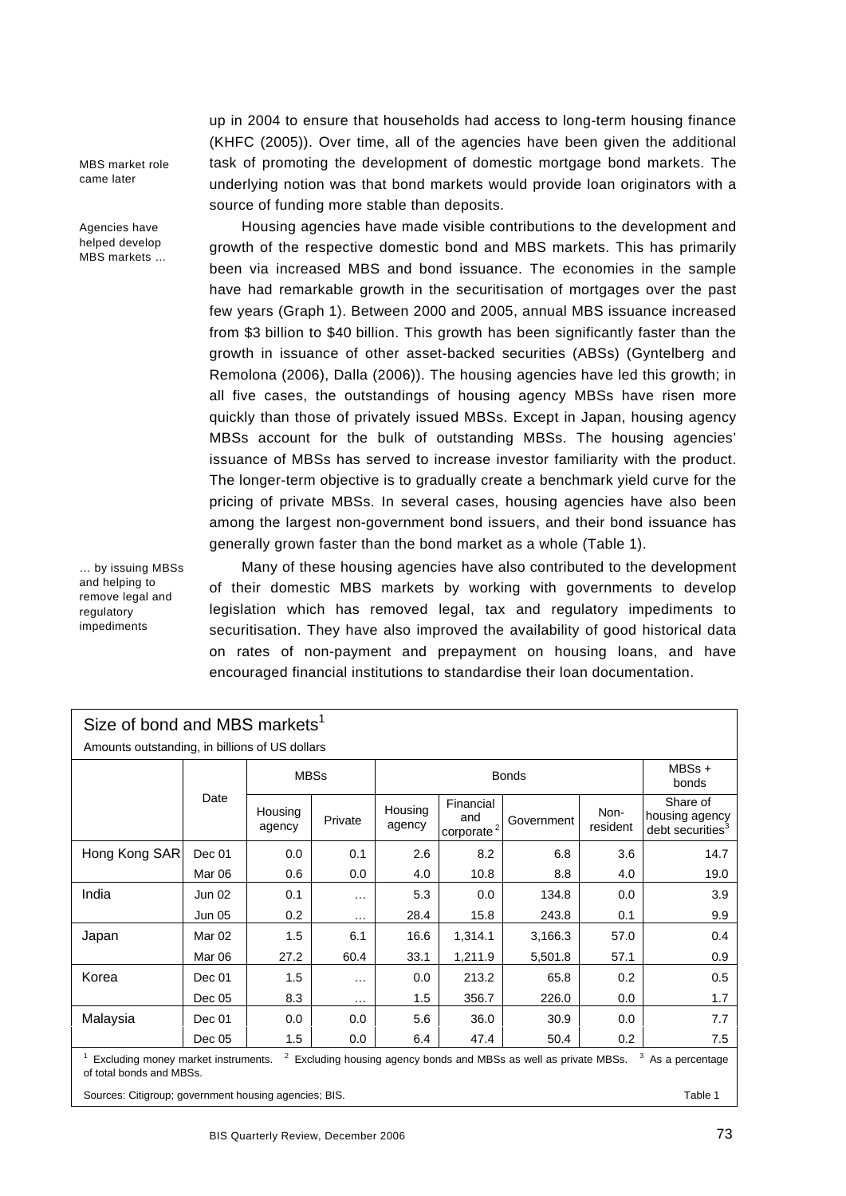MBS market role came later

Agencies have helped develop MBS markets …

… by issuing MBSs and helping to remove legal and regulatory impediments

up in 2004 to ensure that households had access to long-term housing finance (KHFC (2005)). Over time, all of the agencies have been given the additional task of promoting the development of domestic mortgage bond markets. The underlying notion was that bond markets would provide loan originators with a source of funding more stable than deposits.

Housing agencies have made visible contributions to the development and growth of the respective domestic bond and MBS markets. This has primarily been via increased MBS and bond issuance. The economies in the sample have had remarkable growth in the securitisation of mortgages over the past few years (Graph 1). Between 2000 and 2005, annual MBS issuance increased from \$3 billion to \$40 billion. This growth has been significantly faster than the growth in issuance of other asset-backed securities (ABSs) (Gyntelberg and Remolona (2006), Dalla (2006)). The housing agencies have led this growth; in all five cases, the outstandings of housing agency MBSs have risen more quickly than those of privately issued MBSs. Except in Japan, housing agency MBSs account for the bulk of outstanding MBSs. The housing agencies' issuance of MBSs has served to increase investor familiarity with the product. The longer-term objective is to gradually create a benchmark yield curve for the pricing of private MBSs. In several cases, housing agencies have also been among the largest non-government bond issuers, and their bond issuance has generally grown faster than the bond market as a whole (Table 1).

Many of these housing agencies have also contributed to the development of their domestic MBS markets by working with governments to develop legislation which has removed legal, tax and regulatory impediments to securitisation. They have also improved the availability of good historical data on rates of non-payment and prepayment on housing loans, and have encouraged financial institutions to standardise their loan documentation.

| Size of bond and MBS markets <sup>1</sup>                                                                                                                           |               |                   |              |                   |                                           |            |                  |                                                            |
|---------------------------------------------------------------------------------------------------------------------------------------------------------------------|---------------|-------------------|--------------|-------------------|-------------------------------------------|------------|------------------|------------------------------------------------------------|
| Amounts outstanding, in billions of US dollars                                                                                                                      |               |                   |              |                   |                                           |            |                  |                                                            |
|                                                                                                                                                                     | <b>MBSs</b>   |                   | <b>Bonds</b> |                   |                                           |            | MBSs +<br>bonds  |                                                            |
|                                                                                                                                                                     | Date          | Housing<br>agency | Private      | Housing<br>agency | Financial<br>and<br>corporte <sup>2</sup> | Government | Non-<br>resident | Share of<br>housing agency<br>debt securities <sup>3</sup> |
| Hong Kong SAR                                                                                                                                                       | Dec 01        | 0.0               | 0.1          | 2.6               | 8.2                                       | 6.8        | 3.6              | 14.7                                                       |
|                                                                                                                                                                     | Mar 06        | 0.6               | 0.0          | 4.0               | 10.8                                      | 8.8        | 4.0              | 19.0                                                       |
| India                                                                                                                                                               | Jun 02        | 0.1               | .            | 5.3               | 0.0                                       | 134.8      | 0.0              | 3.9                                                        |
|                                                                                                                                                                     | <b>Jun 05</b> | 0.2               | $\cdots$     | 28.4              | 15.8                                      | 243.8      | 0.1              | 9.9                                                        |
| Japan                                                                                                                                                               | Mar 02        | 1.5               | 6.1          | 16.6              | 1,314.1                                   | 3,166.3    | 57.0             | 0.4                                                        |
|                                                                                                                                                                     | Mar 06        | 27.2              | 60.4         | 33.1              | 1,211.9                                   | 5,501.8    | 57.1             | 0.9                                                        |
| Korea                                                                                                                                                               | Dec 01        | 1.5               | .            | 0.0               | 213.2                                     | 65.8       | 0.2              | 0.5                                                        |
|                                                                                                                                                                     | Dec 05        | 8.3               | $\cdots$     | 1.5               | 356.7                                     | 226.0      | 0.0              | 1.7                                                        |
| Malaysia                                                                                                                                                            | Dec 01        | 0.0               | 0.0          | 5.6               | 36.0                                      | 30.9       | 0.0              | 7.7                                                        |
|                                                                                                                                                                     | Dec 05        | 1.5               | 0.0          | 6.4               | 47.4                                      | 50.4       | 0.2              | 7.5                                                        |
| <sup>2</sup> Excluding housing agency bonds and MBSs as well as private MBSs.<br>Excluding money market instruments.<br>As a percentage<br>of total bonds and MBSs. |               |                   |              |                   |                                           |            |                  |                                                            |

Sources: Citigroup; government housing agencies; BIS. Table 1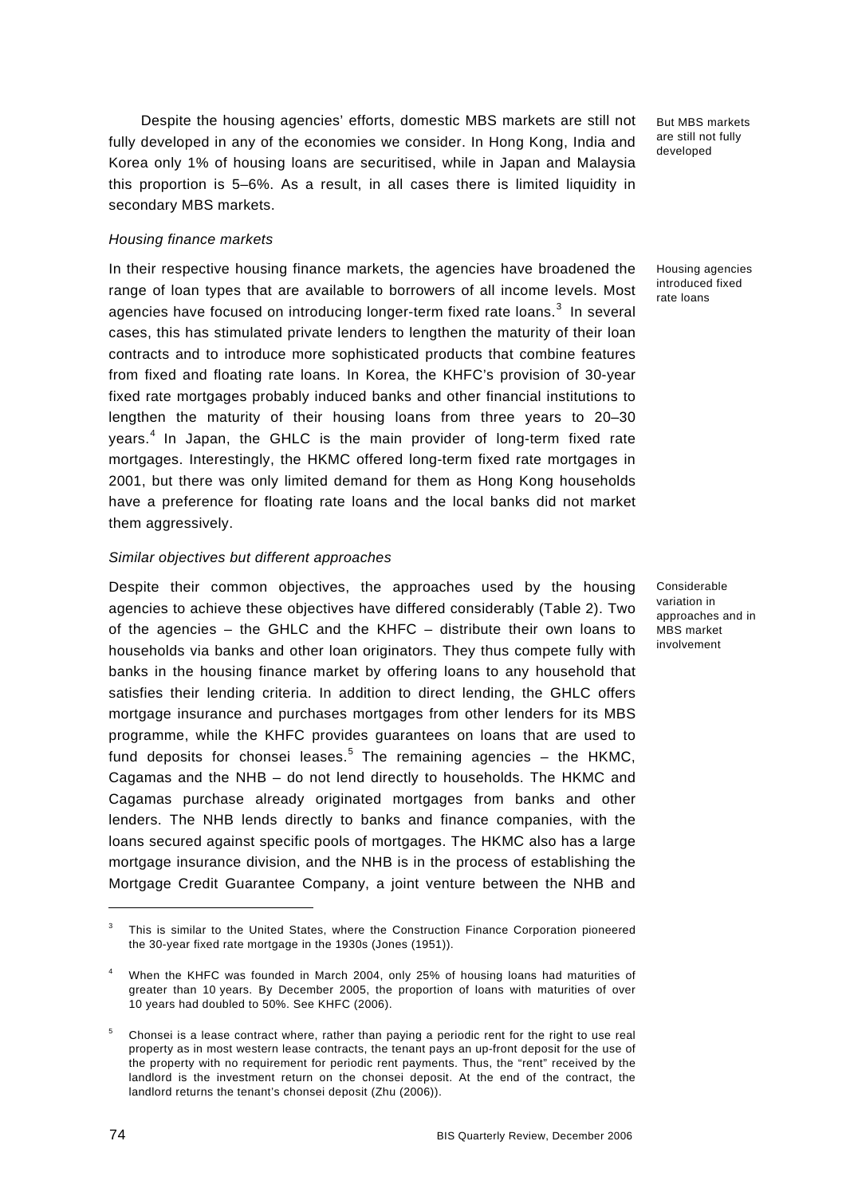Despite the housing agencies' efforts, domestic MBS markets are still not fully developed in any of the economies we consider. In Hong Kong, India and Korea only 1% of housing loans are securitised, while in Japan and Malaysia this proportion is 5–6%. As a result, in all cases there is limited liquidity in secondary MBS markets.

### *Housing finance markets*

In their respective housing finance markets, the agencies have broadened the range of loan types that are available to borrowers of all income levels. Most agencies have focused on introducing longer-term fixed rate loans. $^3$  $^3$  In several cases, this has stimulated private lenders to lengthen the maturity of their loan contracts and to introduce more sophisticated products that combine features from fixed and floating rate loans. In Korea, the KHFC's provision of 30-year fixed rate mortgages probably induced banks and other financial institutions to lengthen the maturity of their housing loans from three years to 20–30 years.<sup>[4](#page-3-1)</sup> In Japan, the GHLC is the main provider of long-term fixed rate mortgages. Interestingly, the HKMC offered long-term fixed rate mortgages in 2001, but there was only limited demand for them as Hong Kong households have a preference for floating rate loans and the local banks did not market them aggressively.

### *Similar objectives but different approaches*

Despite their common objectives, the approaches used by the housing agencies to achieve these objectives have differed considerably (Table 2). Two of the agencies – the GHLC and the KHFC – distribute their own loans to households via banks and other loan originators. They thus compete fully with banks in the housing finance market by offering loans to any household that satisfies their lending criteria. In addition to direct lending, the GHLC offers mortgage insurance and purchases mortgages from other lenders for its MBS programme, while the KHFC provides guarantees on loans that are used to fund deposits for chonsei leases.<sup>[5](#page-3-2)</sup> The remaining agencies  $-$  the HKMC, Cagamas and the NHB – do not lend directly to households. The HKMC and Cagamas purchase already originated mortgages from banks and other lenders. The NHB lends directly to banks and finance companies, with the loans secured against specific pools of mortgages. The HKMC also has a large mortgage insurance division, and the NHB is in the process of establishing the Mortgage Credit Guarantee Company, a joint venture between the NHB and

But MBS markets are still not fully developed

Housing agencies introduced fixed rate loans

Considerable variation in approaches and in MBS market involvement

<span id="page-3-0"></span><sup>3</sup> This is similar to the United States, where the Construction Finance Corporation pioneered the 30-year fixed rate mortgage in the 1930s (Jones (1951)).

<span id="page-3-1"></span><sup>4</sup> When the KHFC was founded in March 2004, only 25% of housing loans had maturities of greater than 10 years. By December 2005, the proportion of loans with maturities of over 10 years had doubled to 50%. See KHFC (2006).

<span id="page-3-2"></span><sup>5</sup> Chonsei is a lease contract where, rather than paying a periodic rent for the right to use real property as in most western lease contracts, the tenant pays an up-front deposit for the use of the property with no requirement for periodic rent payments. Thus, the "rent" received by the landlord is the investment return on the chonsei deposit. At the end of the contract, the landlord returns the tenant's chonsei deposit (Zhu (2006)).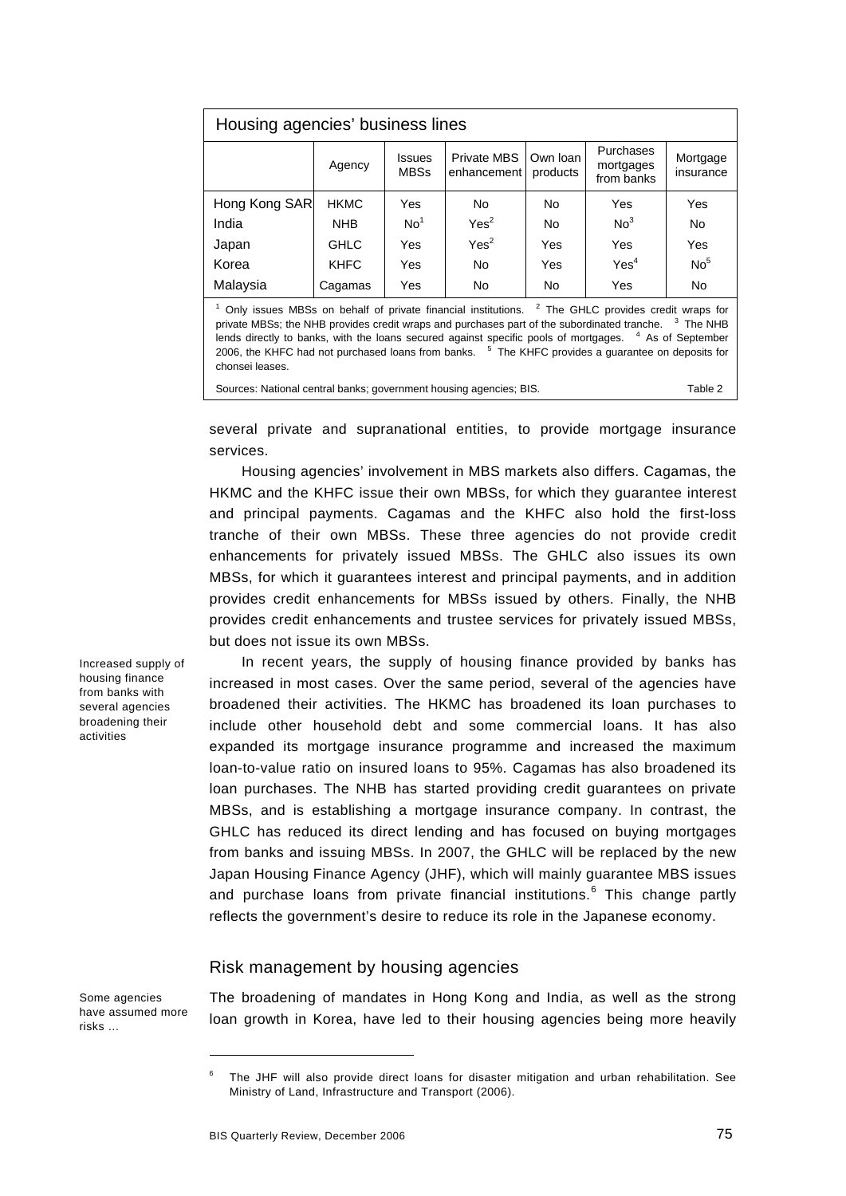| Housing agencies' business lines |             |                              |                                   |                      |                                      |                       |
|----------------------------------|-------------|------------------------------|-----------------------------------|----------------------|--------------------------------------|-----------------------|
|                                  | Agency      | <b>Issues</b><br><b>MBSs</b> | <b>Private MBS</b><br>enhancement | Own loan<br>products | Purchases<br>mortgages<br>from banks | Mortgage<br>insurance |
| Hong Kong SAR                    | <b>HKMC</b> | Yes                          | <b>No</b>                         | <b>No</b>            | Yes                                  | Yes                   |
| India                            | <b>NHB</b>  | No <sup>1</sup>              | Yes <sup>2</sup>                  | No                   | No <sup>3</sup>                      | No                    |
| Japan                            | <b>GHLC</b> | Yes                          | Yes <sup>2</sup>                  | Yes                  | Yes                                  | Yes                   |
| Korea                            | <b>KHFC</b> | Yes                          | No                                | Yes                  | Yes <sup>4</sup>                     | No <sup>5</sup>       |
| Malaysia                         | Cagamas     | Yes                          | No                                | No                   | Yes                                  | No                    |
|                                  |             |                              |                                   |                      |                                      |                       |

 $1$  Only issues MBSs on behalf of private financial institutions.  $2$  The GHLC provides credit wraps for private MBSs; the NHB provides credit wraps and purchases part of the subordinated tranche.  $3$  The NHB lends directly to banks, with the loans secured against specific pools of mortgages. <sup>4</sup> As of September 2006, the KHFC had not purchased loans from banks. <sup>5</sup> The KHFC provides a guarantee on deposits for chonsei leases.

| Sources: National central banks; government housing agencies; BIS. | Table 2 |
|--------------------------------------------------------------------|---------|
|--------------------------------------------------------------------|---------|

several private and supranational entities, to provide mortgage insurance services.

Housing agencies' involvement in MBS markets also differs. Cagamas, the HKMC and the KHFC issue their own MBSs, for which they guarantee interest and principal payments. Cagamas and the KHFC also hold the first-loss tranche of their own MBSs. These three agencies do not provide credit enhancements for privately issued MBSs. The GHLC also issues its own MBSs, for which it guarantees interest and principal payments, and in addition provides credit enhancements for MBSs issued by others. Finally, the NHB provides credit enhancements and trustee services for privately issued MBSs, but does not issue its own MBSs.

In recent years, the supply of housing finance provided by banks has increased in most cases. Over the same period, several of the agencies have broadened their activities. The HKMC has broadened its loan purchases to include other household debt and some commercial loans. It has also expanded its mortgage insurance programme and increased the maximum loan-to-value ratio on insured loans to 95%. Cagamas has also broadened its loan purchases. The NHB has started providing credit guarantees on private MBSs, and is establishing a mortgage insurance company. In contrast, the GHLC has reduced its direct lending and has focused on buying mortgages from banks and issuing MBSs. In 2007, the GHLC will be replaced by the new Japan Housing Finance Agency (JHF), which will mainly guarantee MBS issues and purchase loans from private financial institutions.<sup>[6](#page-4-0)</sup> This change partly reflects the government's desire to reduce its role in the Japanese economy.

### Risk management by housing agencies

The broadening of mandates in Hong Kong and India, as well as the strong loan growth in Korea, have led to their housing agencies being more heavily

Increased supply of housing finance from banks with several agencies broadening their activities

Some agencies have assumed more

<span id="page-4-0"></span>risks …

-

<sup>6</sup> The JHF will also provide direct loans for disaster mitigation and urban rehabilitation. See Ministry of Land, Infrastructure and Transport (2006).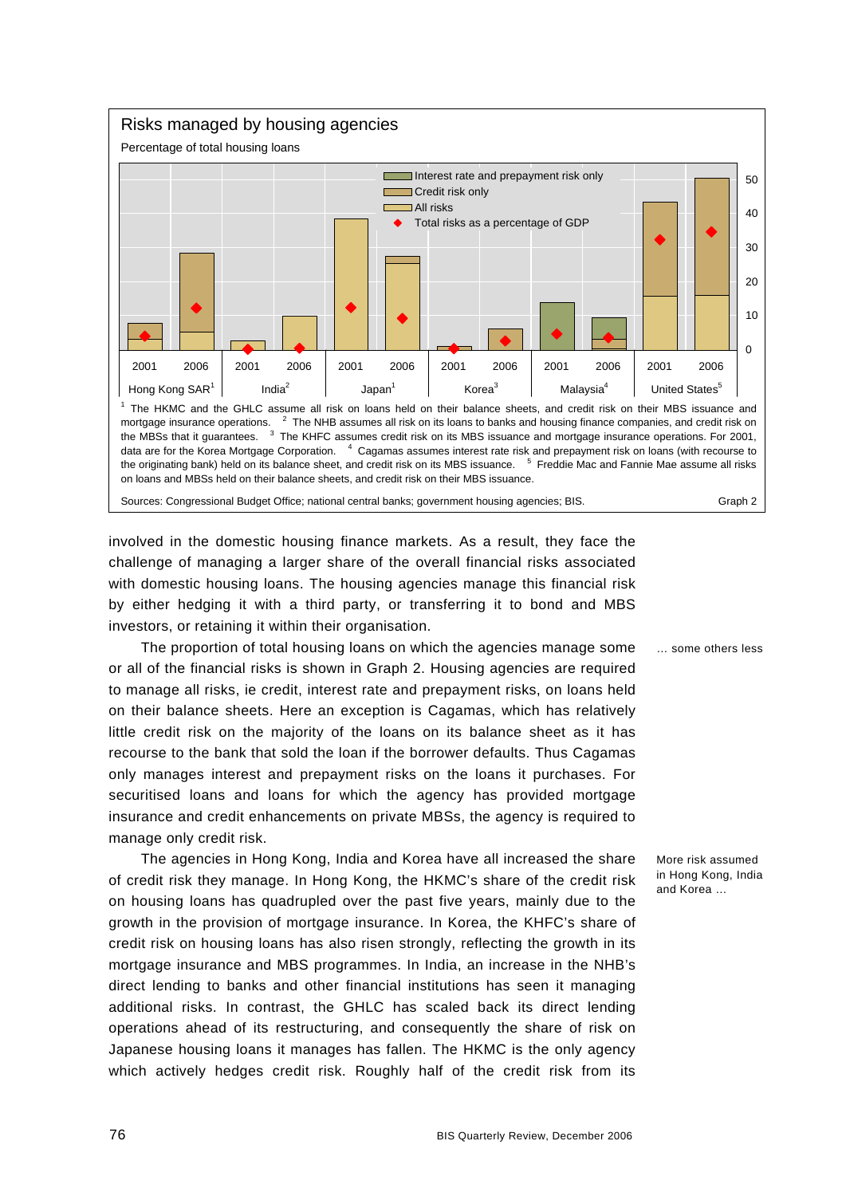

involved in the domestic housing finance markets. As a result, they face the challenge of managing a larger share of the overall financial risks associated with domestic housing loans. The housing agencies manage this financial risk by either hedging it with a third party, or transferring it to bond and MBS investors, or retaining it within their organisation.

The proportion of total housing loans on which the agencies manage some or all of the financial risks is shown in Graph 2. Housing agencies are required to manage all risks, ie credit, interest rate and prepayment risks, on loans held on their balance sheets. Here an exception is Cagamas, which has relatively little credit risk on the majority of the loans on its balance sheet as it has recourse to the bank that sold the loan if the borrower defaults. Thus Cagamas only manages interest and prepayment risks on the loans it purchases. For securitised loans and loans for which the agency has provided mortgage insurance and credit enhancements on private MBSs, the agency is required to manage only credit risk.

The agencies in Hong Kong, India and Korea have all increased the share of credit risk they manage. In Hong Kong, the HKMC's share of the credit risk on housing loans has quadrupled over the past five years, mainly due to the growth in the provision of mortgage insurance. In Korea, the KHFC's share of credit risk on housing loans has also risen strongly, reflecting the growth in its mortgage insurance and MBS programmes. In India, an increase in the NHB's direct lending to banks and other financial institutions has seen it managing additional risks. In contrast, the GHLC has scaled back its direct lending operations ahead of its restructuring, and consequently the share of risk on Japanese housing loans it manages has fallen. The HKMC is the only agency which actively hedges credit risk. Roughly half of the credit risk from its

… some others less

More risk assumed in Hong Kong, India and Korea …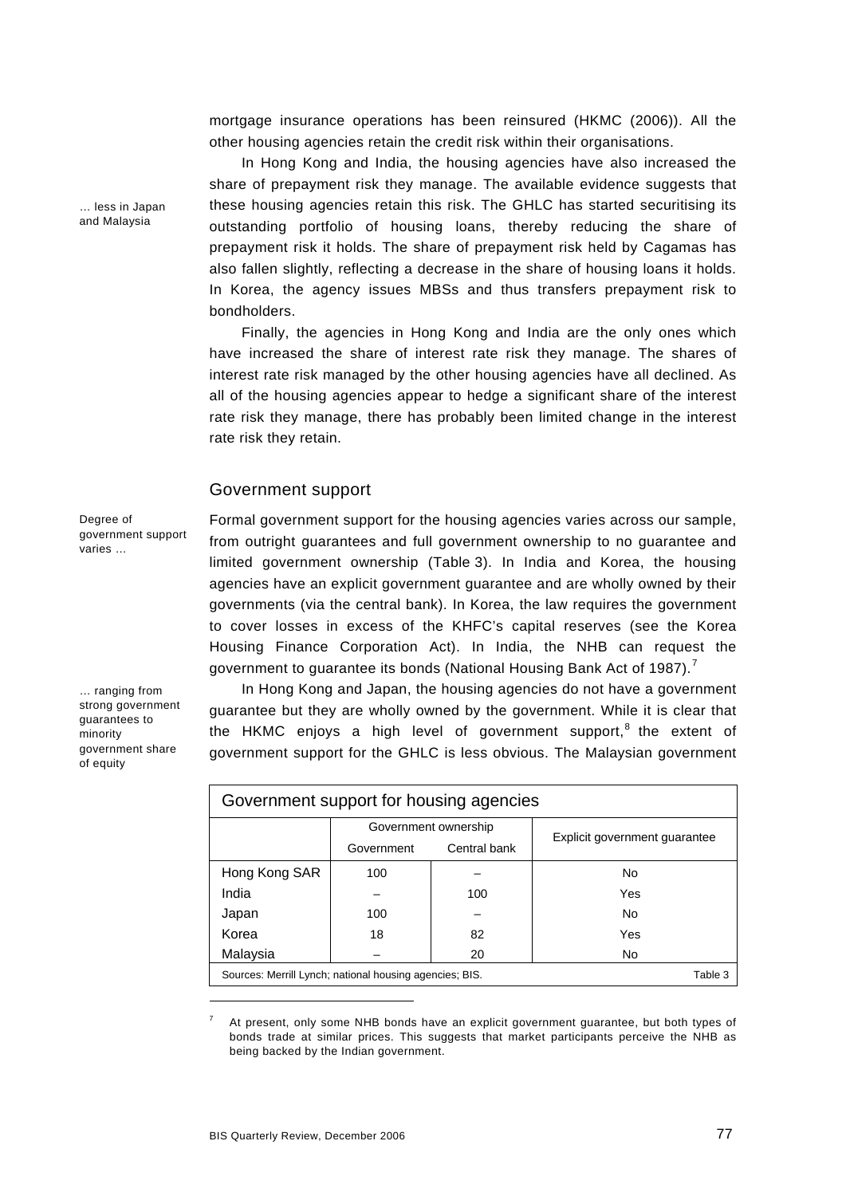mortgage insurance operations has been reinsured (HKMC (2006)). All the other housing agencies retain the credit risk within their organisations.

In Hong Kong and India, the housing agencies have also increased the share of prepayment risk they manage. The available evidence suggests that these housing agencies retain this risk. The GHLC has started securitising its outstanding portfolio of housing loans, thereby reducing the share of prepayment risk it holds. The share of prepayment risk held by Cagamas has also fallen slightly, reflecting a decrease in the share of housing loans it holds. In Korea, the agency issues MBSs and thus transfers prepayment risk to bondholders.

Finally, the agencies in Hong Kong and India are the only ones which have increased the share of interest rate risk they manage. The shares of interest rate risk managed by the other housing agencies have all declined. As all of the housing agencies appear to hedge a significant share of the interest rate risk they manage, there has probably been limited change in the interest rate risk they retain.

# Government support

Degree of government support varies …

… ranging from strong government guarantees to minority government share of equity

Formal government support for the housing agencies varies across our sample, from outright guarantees and full government ownership to no guarantee and limited government ownership (Table 3). In India and Korea, the housing agencies have an explicit government guarantee and are wholly owned by their governments (via the central bank). In Korea, the law requires the government to cover losses in excess of the KHFC's capital reserves (see the Korea Housing Finance Corporation Act). In India, the NHB can request the government to guarantee its bonds (National Housing Bank Act of 198[7](#page-6-0)).<sup>7</sup>

In Hong Kong and Japan, the housing agencies do not have a government guarantee but they are wholly owned by the government. While it is clear that the HKMC enjoys a high level of government support,<sup>[8](#page-6-1)</sup> the extent of government support for the GHLC is less obvious. The Malaysian government

| Government support for housing agencies                 |            |                      |                               |  |  |
|---------------------------------------------------------|------------|----------------------|-------------------------------|--|--|
|                                                         |            | Government ownership |                               |  |  |
|                                                         | Government | Central bank         | Explicit government quarantee |  |  |
| Hong Kong SAR                                           | 100        |                      | No                            |  |  |
| India                                                   |            | 100                  | Yes                           |  |  |
| Japan                                                   | 100        |                      | N <sub>0</sub>                |  |  |
| Korea                                                   | 18         | 82                   | Yes                           |  |  |
| Malaysia                                                |            | 20                   | No.                           |  |  |
| Sources: Merrill Lynch; national housing agencies; BIS. |            |                      |                               |  |  |

<span id="page-6-1"></span><span id="page-6-0"></span>7 At present, only some NHB bonds have an explicit government guarantee, but both types of bonds trade at similar prices. This suggests that market participants perceive the NHB as being backed by the Indian government.

… less in Japan and Malaysia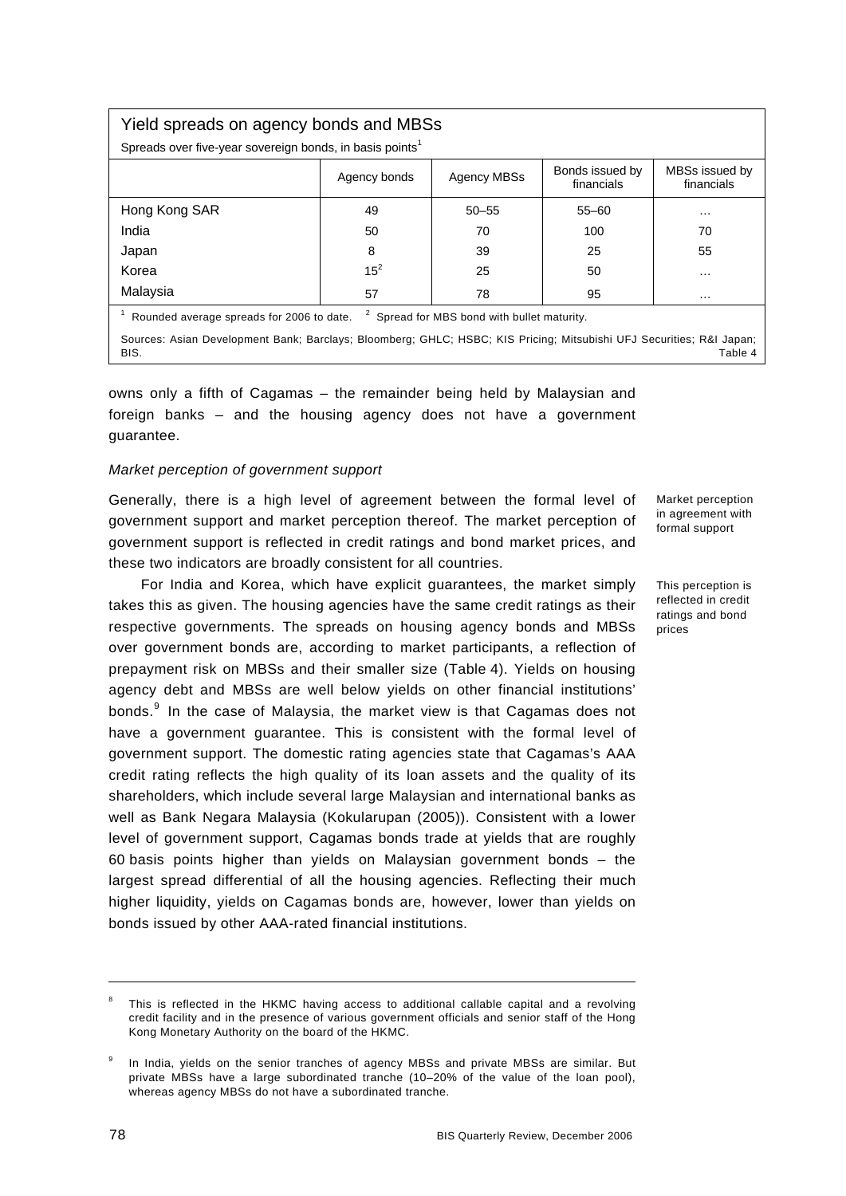# Yield spreads on agency bonds and MBSs

Spreads over five-year sovereign bonds, in basis points<sup>1</sup>

|                                                                                                        | Agency bonds | Agency MBSs | Bonds issued by<br>financials | MBSs issued by<br>financials |  |
|--------------------------------------------------------------------------------------------------------|--------------|-------------|-------------------------------|------------------------------|--|
| Hong Kong SAR                                                                                          | 49           | $50 - 55$   | $55 - 60$                     | $\cdots$                     |  |
| India                                                                                                  | 50           | 70          | 100                           | 70                           |  |
| Japan                                                                                                  | 8            | 39          | 25                            | 55                           |  |
| Korea                                                                                                  | $15^2$       | 25          | 50                            | $\cdots$                     |  |
| Malaysia                                                                                               | 57           | 78          | 95                            | $\cdots$                     |  |
| $\mathbf{z}$<br>Spread for MBS bond with bullet maturity.<br>Rounded average spreads for 2006 to date. |              |             |                               |                              |  |

Sources: Asian Development Bank; Barclays; Bloomberg; GHLC; HSBC; KIS Pricing; Mitsubishi UFJ Securities; R&I Japan; BIS. Table 4

owns only a fifth of Cagamas – the remainder being held by Malaysian and foreign banks – and the housing agency does not have a government guarantee.

### *Market perception of government support*

Generally, there is a high level of agreement between the formal level of government support and market perception thereof. The market perception of government support is reflected in credit ratings and bond market prices, and these two indicators are broadly consistent for all countries.

For India and Korea, which have explicit guarantees, the market simply takes this as given. The housing agencies have the same credit ratings as their respective governments. The spreads on housing agency bonds and MBSs over government bonds are, according to market participants, a reflection of prepayment risk on MBSs and their smaller size (Table 4). Yields on housing agency debt and MBSs are well below yields on other financial institutions' bonds.<sup>[9](#page-7-0)</sup> In the case of Malaysia, the market view is that Cagamas does not have a government guarantee. This is consistent with the formal level of government support. The domestic rating agencies state that Cagamas's AAA credit rating reflects the high quality of its loan assets and the quality of its shareholders, which include several large Malaysian and international banks as well as Bank Negara Malaysia (Kokularupan (2005)). Consistent with a lower level of government support, Cagamas bonds trade at yields that are roughly 60 basis points higher than yields on Malaysian government bonds – the largest spread differential of all the housing agencies. Reflecting their much higher liquidity, yields on Cagamas bonds are, however, lower than yields on bonds issued by other AAA-rated financial institutions.

Market perception in agreement with formal support

This perception is reflected in credit ratings and bond prices

<sup>8</sup> This is reflected in the HKMC having access to additional callable capital and a revolving credit facility and in the presence of various government officials and senior staff of the Hong Kong Monetary Authority on the board of the HKMC.

<span id="page-7-0"></span><sup>9</sup> In India, yields on the senior tranches of agency MBSs and private MBSs are similar. But private MBSs have a large subordinated tranche (10–20% of the value of the loan pool), whereas agency MBSs do not have a subordinated tranche.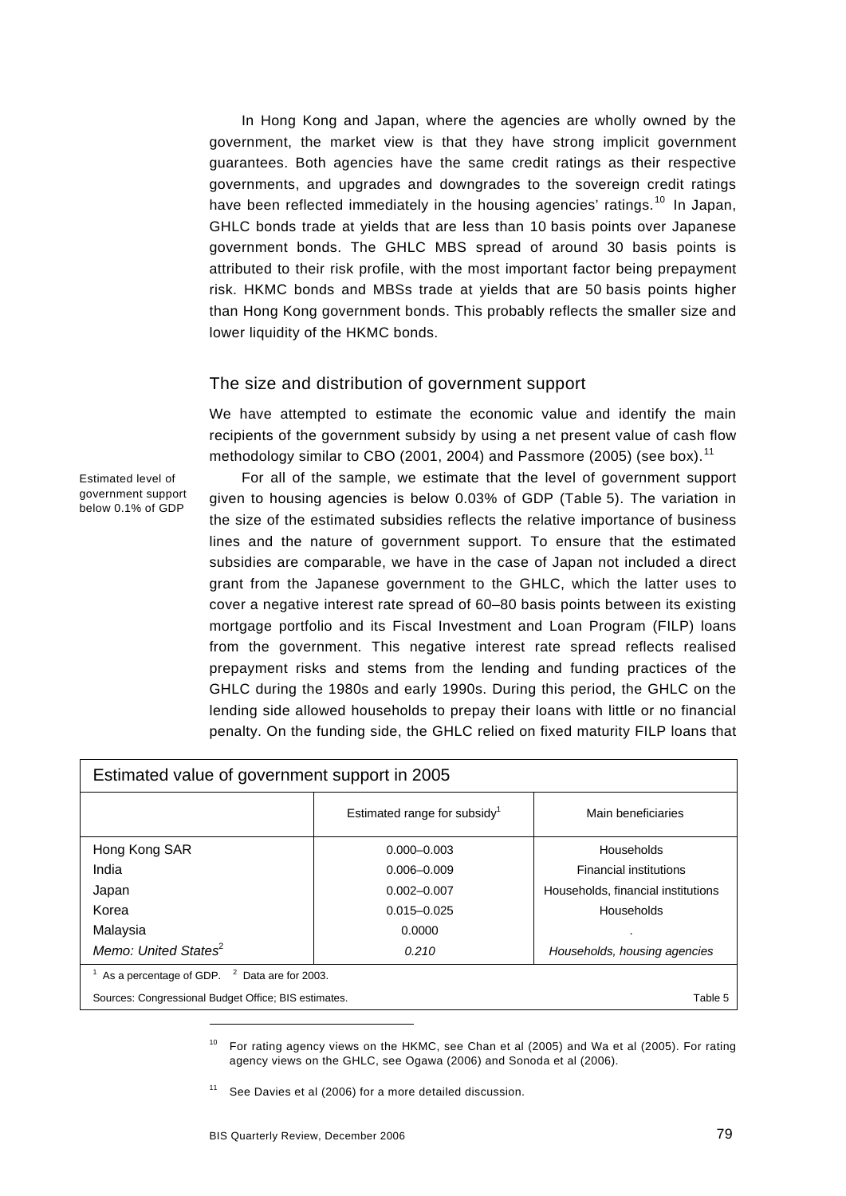In Hong Kong and Japan, where the agencies are wholly owned by the government, the market view is that they have strong implicit government guarantees. Both agencies have the same credit ratings as their respective governments, and upgrades and downgrades to the sovereign credit ratings have been reflected immediately in the housing agencies' ratings.<sup>[10](#page-8-0)</sup> In Japan, GHLC bonds trade at yields that are less than 10 basis points over Japanese government bonds. The GHLC MBS spread of around 30 basis points is attributed to their risk profile, with the most important factor being prepayment risk. HKMC bonds and MBSs trade at yields that are 50 basis points higher than Hong Kong government bonds. This probably reflects the smaller size and lower liquidity of the HKMC bonds.

### The size and distribution of government support

We have attempted to estimate the economic value and identify the main recipients of the government subsidy by using a net present value of cash flow methodology similar to CBO (200[1](#page-8-1), 2004) and Passmore (2005) (see box).<sup>11</sup>

Estimated level of government support below 0.1% of GDP

For all of the sample, we estimate that the level of government support given to housing agencies is below 0.03% of GDP (Table 5). The variation in the size of the estimated subsidies reflects the relative importance of business lines and the nature of government support. To ensure that the estimated subsidies are comparable, we have in the case of Japan not included a direct grant from the Japanese government to the GHLC, which the latter uses to cover a negative interest rate spread of 60–80 basis points between its existing mortgage portfolio and its Fiscal Investment and Loan Program (FILP) loans from the government. This negative interest rate spread reflects realised prepayment risks and stems from the lending and funding practices of the GHLC during the 1980s and early 1990s. During this period, the GHLC on the lending side allowed households to prepay their loans with little or no financial penalty. On the funding side, the GHLC relied on fixed maturity FILP loans that

| Estimated value of government support in 2005           |                                          |                                    |  |  |
|---------------------------------------------------------|------------------------------------------|------------------------------------|--|--|
|                                                         | Estimated range for subsidy <sup>1</sup> | Main beneficiaries                 |  |  |
| Hong Kong SAR                                           | $0.000 - 0.003$                          | Households                         |  |  |
| India                                                   | $0.006 - 0.009$                          | <b>Financial institutions</b>      |  |  |
| Japan                                                   | $0.002 - 0.007$                          | Households, financial institutions |  |  |
| Korea                                                   | $0.015 - 0.025$                          | Households                         |  |  |
| Malaysia                                                | 0.0000                                   |                                    |  |  |
| Memo: United States <sup>2</sup>                        | 0.210                                    | Households, housing agencies       |  |  |
| As a percentage of GDP. <sup>2</sup> Data are for 2003. |                                          |                                    |  |  |
| Sources: Congressional Budget Office; BIS estimates.    |                                          |                                    |  |  |

<span id="page-8-0"></span><sup>&</sup>lt;sup>10</sup> For rating agency views on the HKMC, see Chan et al (2005) and Wa et al (2005). For rating agency views on the GHLC, see Ogawa (2006) and Sonoda et al (2006).

<span id="page-8-1"></span> $11$  See Davies et al (2006) for a more detailed discussion.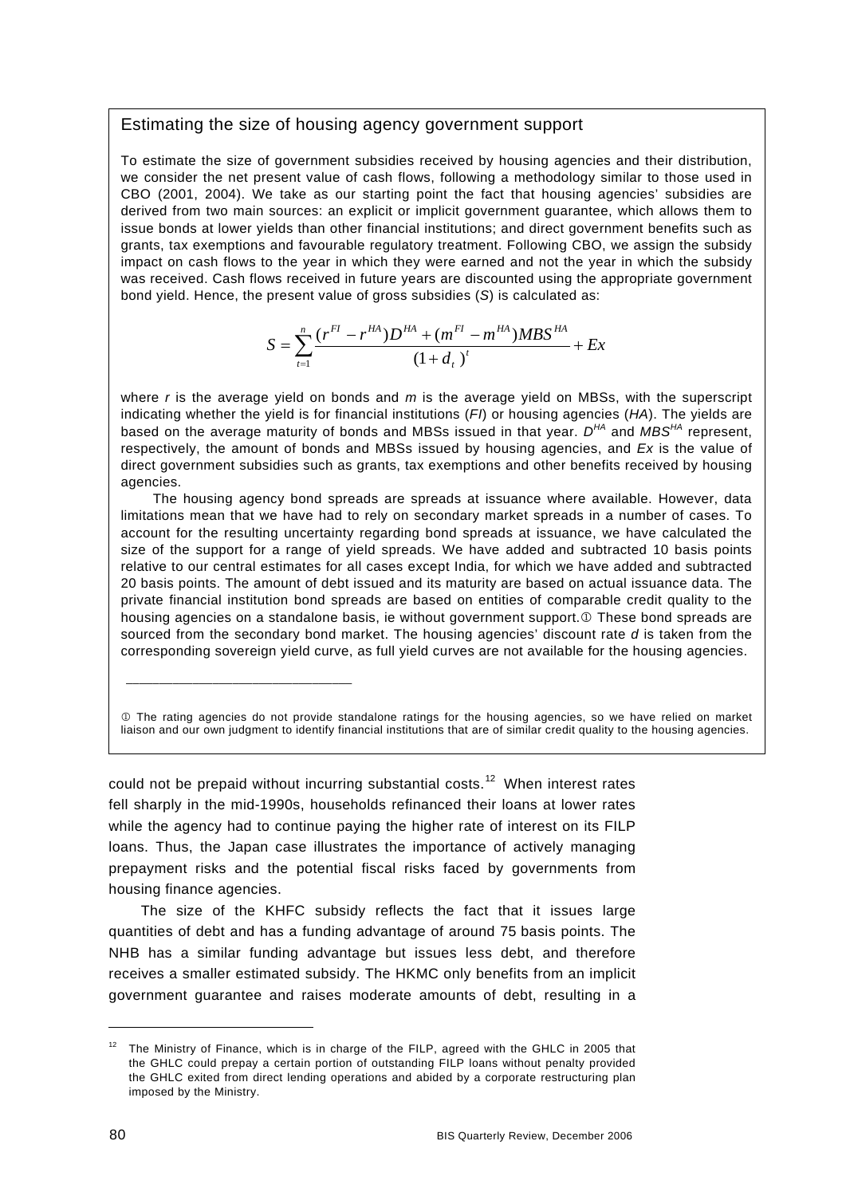### Estimating the size of housing agency government support

To estimate the size of government subsidies received by housing agencies and their distribution, we consider the net present value of cash flows, following a methodology similar to those used in CBO (2001, 2004). We take as our starting point the fact that housing agencies' subsidies are derived from two main sources: an explicit or implicit government guarantee, which allows them to issue bonds at lower yields than other financial institutions; and direct government benefits such as grants, tax exemptions and favourable regulatory treatment. Following CBO, we assign the subsidy impact on cash flows to the year in which they were earned and not the year in which the subsidy was received. Cash flows received in future years are discounted using the appropriate government bond yield. Hence, the present value of gross subsidies (*S*) is calculated as:

$$
S = \sum_{t=1}^{n} \frac{(r^{FI} - r^{HA})D^{HA} + (m^{FI} - m^{HA})MBS^{HA}}{(1 + d_{t})^{t}} + Ex
$$

where *r* is the average yield on bonds and *m* is the average yield on MBSs, with the superscript indicating whether the yield is for financial institutions (*FI*) or housing agencies (*HA*). The yields are based on the average maturity of bonds and MBSs issued in that year. *DHA* and *MBSHA* represent, respectively, the amount of bonds and MBSs issued by housing agencies, and *Ex* is the value of direct government subsidies such as grants, tax exemptions and other benefits received by housing agencies.

The housing agency bond spreads are spreads at issuance where available. However, data limitations mean that we have had to rely on secondary market spreads in a number of cases. To account for the resulting uncertainty regarding bond spreads at issuance, we have calculated the size of the support for a range of yield spreads. We have added and subtracted 10 basis points relative to our central estimates for all cases except India, for which we have added and subtracted 20 basis points. The amount of debt issued and its maturity are based on actual issuance data. The private financial institution bond spreads are based on entities of comparable credit quality to the housing agencies on a standalone basis, ie without government support.<sup>1</sup> These bond spreads are sourced from the secondary bond market. The housing agencies' discount rate *d* is taken from the corresponding sovereign yield curve, as full yield curves are not available for the housing agencies.

1 The rating agencies do not provide standalone ratings for the housing agencies, so we have relied on market liaison and our own judgment to identify financial institutions that are of similar credit quality to the housing agencies.

could not be prepaid without incurring substantial costs.<sup>[1](#page-9-0)2</sup> When interest rates fell sharply in the mid-1990s, households refinanced their loans at lower rates while the agency had to continue paying the higher rate of interest on its FILP loans. Thus, the Japan case illustrates the importance of actively managing prepayment risks and the potential fiscal risks faced by governments from housing finance agencies.

\_\_\_\_\_\_\_\_\_\_\_\_\_\_\_\_\_\_\_\_\_\_\_\_\_\_\_\_\_\_\_\_\_\_

The size of the KHFC subsidy reflects the fact that it issues large quantities of debt and has a funding advantage of around 75 basis points. The NHB has a similar funding advantage but issues less debt, and therefore receives a smaller estimated subsidy. The HKMC only benefits from an implicit government guarantee and raises moderate amounts of debt, resulting in a

l

<span id="page-9-0"></span> $12$  The Ministry of Finance, which is in charge of the FILP, agreed with the GHLC in 2005 that the GHLC could prepay a certain portion of outstanding FILP loans without penalty provided the GHLC exited from direct lending operations and abided by a corporate restructuring plan imposed by the Ministry.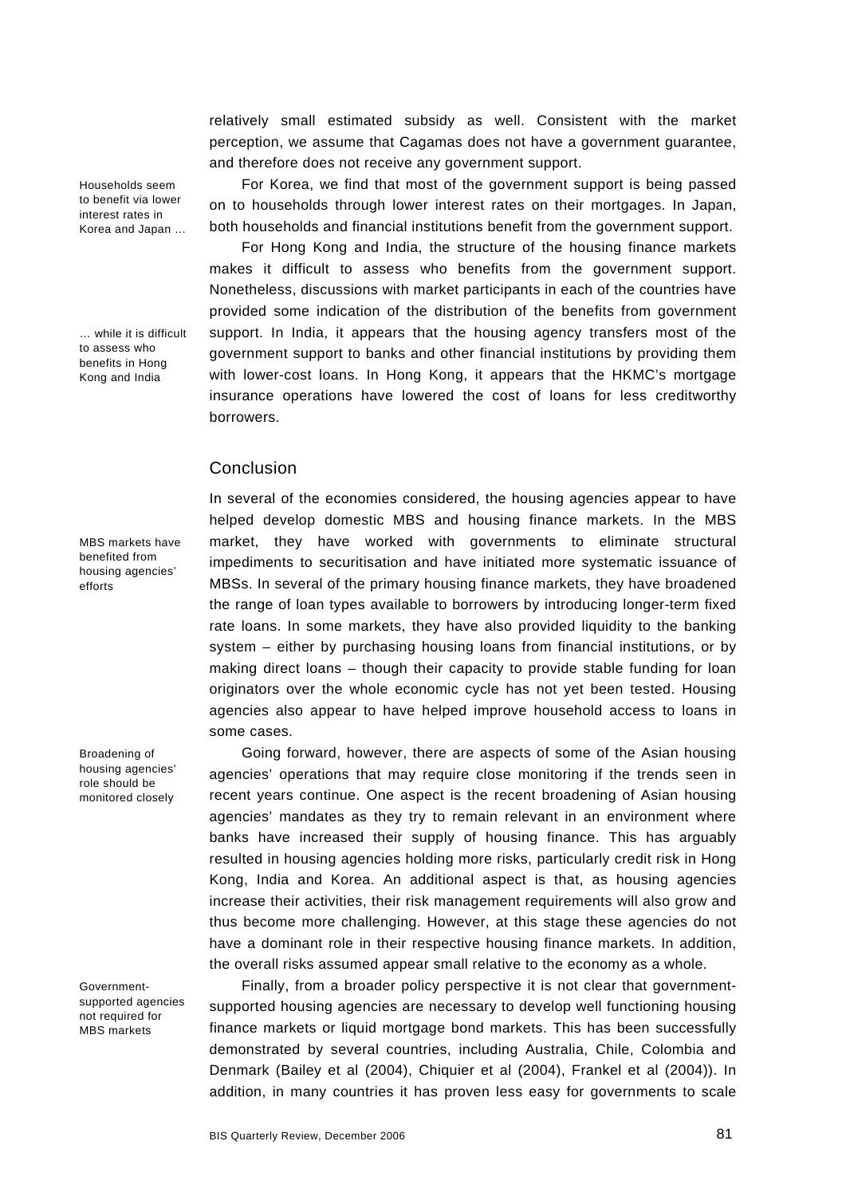relatively small estimated subsidy as well. Consistent with the market perception, we assume that Cagamas does not have a government guarantee, and therefore does not receive any government support.

For Korea, we find that most of the government support is being passed on to households through lower interest rates on their mortgages. In Japan, both households and financial institutions benefit from the government support.

For Hong Kong and India, the structure of the housing finance markets makes it difficult to assess who benefits from the government support. Nonetheless, discussions with market participants in each of the countries have provided some indication of the distribution of the benefits from government support. In India, it appears that the housing agency transfers most of the government support to banks and other financial institutions by providing them with lower-cost loans. In Hong Kong, it appears that the HKMC's mortgage insurance operations have lowered the cost of loans for less creditworthy borrowers.

### Conclusion

In several of the economies considered, the housing agencies appear to have helped develop domestic MBS and housing finance markets. In the MBS market, they have worked with governments to eliminate structural impediments to securitisation and have initiated more systematic issuance of MBSs. In several of the primary housing finance markets, they have broadened the range of loan types available to borrowers by introducing longer-term fixed rate loans. In some markets, they have also provided liquidity to the banking system – either by purchasing housing loans from financial institutions, or by making direct loans – though their capacity to provide stable funding for loan originators over the whole economic cycle has not yet been tested. Housing agencies also appear to have helped improve household access to loans in some cases.

Going forward, however, there are aspects of some of the Asian housing agencies' operations that may require close monitoring if the trends seen in recent years continue. One aspect is the recent broadening of Asian housing agencies' mandates as they try to remain relevant in an environment where banks have increased their supply of housing finance. This has arguably resulted in housing agencies holding more risks, particularly credit risk in Hong Kong, India and Korea. An additional aspect is that, as housing agencies increase their activities, their risk management requirements will also grow and thus become more challenging. However, at this stage these agencies do not have a dominant role in their respective housing finance markets. In addition, the overall risks assumed appear small relative to the economy as a whole.

Finally, from a broader policy perspective it is not clear that governmentsupported housing agencies are necessary to develop well functioning housing finance markets or liquid mortgage bond markets. This has been successfully demonstrated by several countries, including Australia, Chile, Colombia and Denmark (Bailey et al (2004), Chiquier et al (2004), Frankel et al (2004)). In addition, in many countries it has proven less easy for governments to scale

Households seem to benefit via lower interest rates in Korea and Japan …

… while it is difficult to assess who benefits in Hong Kong and India

MBS markets have benefited from housing agencies' efforts

Broadening of housing agencies' role should be monitored closely

Governmentsupported agencies not required for MBS markets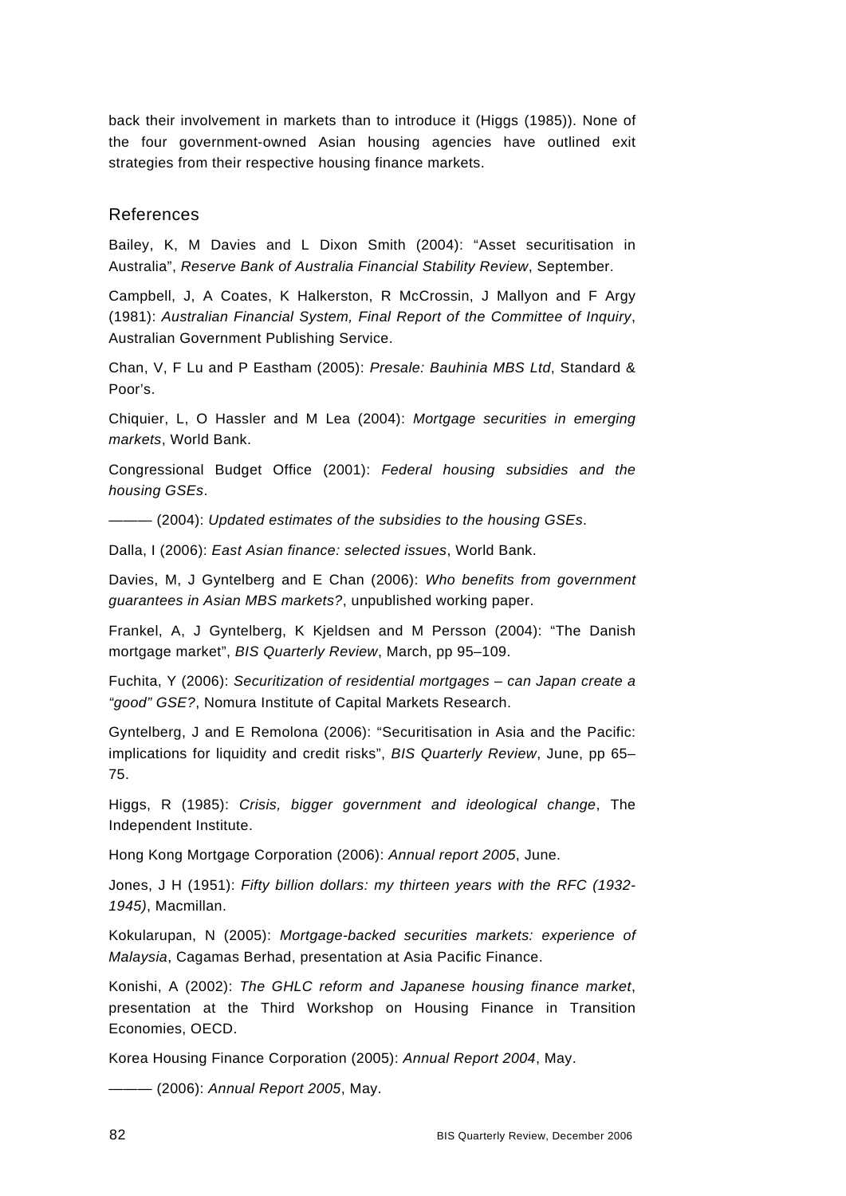back their involvement in markets than to introduce it (Higgs (1985)). None of the four government-owned Asian housing agencies have outlined exit strategies from their respective housing finance markets.

# References

Bailey, K, M Davies and L Dixon Smith (2004): "Asset securitisation in Australia", *Reserve Bank of Australia Financial Stability Review*, September.

Campbell, J, A Coates, K Halkerston, R McCrossin, J Mallyon and F Argy (1981): *Australian Financial System, Final Report of the Committee of Inquiry*, Australian Government Publishing Service.

Chan, V, F Lu and P Eastham (2005): *Presale: Bauhinia MBS Ltd*, Standard & Poor's.

Chiquier, L, O Hassler and M Lea (2004): *Mortgage securities in emerging markets*, World Bank.

Congressional Budget Office (2001): *Federal housing subsidies and the housing GSEs*.

——— (2004): *Updated estimates of the subsidies to the housing GSEs*.

Dalla, I (2006): *East Asian finance: selected issues*, World Bank.

Davies, M, J Gyntelberg and E Chan (2006): *Who benefits from government guarantees in Asian MBS markets?*, unpublished working paper.

Frankel, A, J Gyntelberg, K Kjeldsen and M Persson (2004): "The Danish mortgage market", *BIS Quarterly Review*, March, pp 95–109.

Fuchita, Y (2006): *Securitization of residential mortgages – can Japan create a "good" GSE?*, Nomura Institute of Capital Markets Research.

Gyntelberg, J and E Remolona (2006): "Securitisation in Asia and the Pacific: implications for liquidity and credit risks", *BIS Quarterly Review*, June, pp 65– 75.

Higgs, R (1985): *Crisis, bigger government and ideological change*, The Independent Institute.

Hong Kong Mortgage Corporation (2006): *Annual report 2005*, June.

Jones, J H (1951): *Fifty billion dollars: my thirteen years with the RFC (1932- 1945)*, Macmillan.

Kokularupan, N (2005): *Mortgage-backed securities markets: experience of Malaysia*, Cagamas Berhad, presentation at Asia Pacific Finance.

Konishi, A (2002): *The GHLC reform and Japanese housing finance market*, presentation at the Third Workshop on Housing Finance in Transition Economies, OECD.

Korea Housing Finance Corporation (2005): *Annual Report 2004*, May.

——— (2006): *Annual Report 2005*, May.